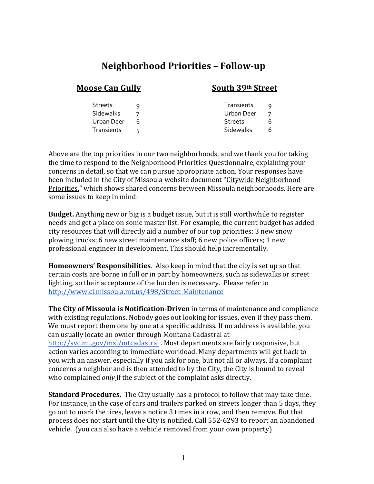## **Neighborhood Priorities – Follow-up**

#### **Moose Can Gully South 39th Street**

Streets 9 Streets 9 Sidewalks 7 Urban Deer 7 Urban Deer 6 Streets 6 Transients 5 Sidewalks 6

Above are the top priorities in our two neighborhoods, and we thank you for taking the time to respond to the Neighborhood Priorities Questionnaire, explaining your concerns in detail, so that we can pursue appropriate action. Your responses have been included in the City of Missoula website document ["Citywide](http://www.ci.missoula.mt.us/DocumentCenter/View/47902/Neighborhood-Priorities-comparisons) [Neighborhood](http://www.ci.missoula.mt.us/DocumentCenter/View/47902/Neighborhood-Priorities-comparisons)  [Priorities,"](http://www.ci.missoula.mt.us/DocumentCenter/View/47902/Neighborhood-Priorities-comparisons) which shows shared concerns between Missoula neighborhoods. Here are some issues to keep in mind:

**Budget.** Anything new or big is a budget issue, but it is still worthwhile to register needs and get a place on some master list. For example, the current budget has added city resources that will directly aid a number of our top priorities: 3 new snow plowing trucks; 6 new street maintenance staff; 6 new police officers; 1 new professional engineer in development. This should help incrementally.

**Homeowners' Responsibilities**. Also keep in mind that the city is set up so that certain costs are borne in full or in part by homeowners, such as sidewalks or street lighting, so their acceptance of the burden is necessary. Please refer to <http://www.ci.missoula.mt.us/498/Street-Maintenance>

**The City of Missoula is Notification-Driven** in terms of maintenance and compliance with existing regulations. Nobody goes out looking for issues, even if they pass them. We must report them one by one at a specific address. If no address is available, you can usually locate an owner through Montana Cadastral at <http://svc.mt.gov/msl/mtcadastral> . Most departments are fairly responsive, but action varies according to immediate workload. Many departments will get back to you with an answer, especially if you ask for one, but not all or always. If a complaint concerns a neighbor and is then attended to by the City, the City is bound to reveal who complained *only* if the subject of the complaint asks directly.

**Standard Procedures.** The City usually has a protocol to follow that may take time. For instance, in the case of cars and trailers parked on streets longer than 5 days, they go out to mark the tires, leave a notice 3 times in a row, and then remove. But that process does not start until the City is notified. Call 552-6293 to report an abandoned vehicle. (you can also have a vehicle removed from your own property)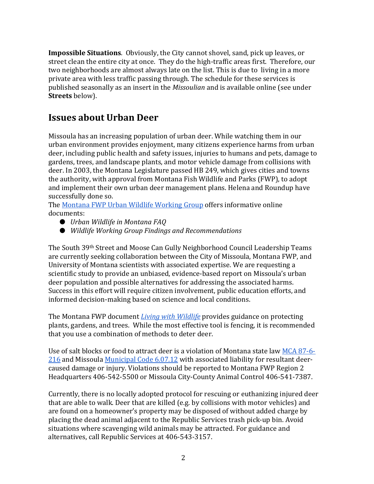**Impossible Situations**. Obviously, the City cannot shovel, sand, pick up leaves, or street clean the entire city at once. They do the high-traffic areas first. Therefore, our two neighborhoods are almost always late on the list. This is due to living in a more private area with less traffic passing through. The schedule for these services is published seasonally as an insert in the *Missoulian* and is available online (see under **Streets** below).

#### **Issues about Urban Deer**

Missoula has an increasing population of urban deer. While watching them in our urban environment provides enjoyment, many citizens experience harms from urban deer, including public health and safety issues, injuries to humans and pets, damage to gardens, trees, and landscape plants, and motor vehicle damage from collisions with deer. In 2003, the Montana Legislature passed HB 249, which gives cities and towns the authority, with approval from Montana Fish Wildlife and Parks (FWP), to adopt and implement their own urban deer management plans. Helena and Roundup have successfully done so.

The [Montana FWP Urban Wildlife Working Group](http://fwp.mt.gov/fishAndWildlife/livingWithWildlife/uwwg.html) offers informative online documents:

- *Urban Wildlife in Montana FAQ*
- *Wildlife Working Group Findings and Recommendation[s](http://fwp.mt.gov/fishAndWildlife/livingWithWildlife/uwwg.html)*

The South 39th Street and Moose Can Gully Neighborhood Council Leadership Teams are currently seeking collaboration between the City of Missoula, Montana FWP, and University of Montana scientists with associated expertise. We are requesting a scientific study to provide an unbiased, evidence-based report on Missoula's urban deer population and possible alternatives for addressing the associated harms. Success in this effort will require citizen involvement, public education efforts, and informed decision-making based on science and local conditions.

The Montana FWP document *[Living with Wildlife](http://fwp.mt.gov/fishAndWildlife/livingWithWildlife/deer/default.html)* provides guidance on protecting plants, gardens, and trees. While the most effective tool is fencing, it is recommended that you use a combination of methods to deter deer.

Use of salt blocks or food to attract deer is a violation of Montana state la[w](https://leg.mt.gov/bills/mca/title_0870/chapter_0060/part_0020/section_0160/0870-0060-0020-0160.html) [MCA 87-6-](https://leg.mt.gov/bills/mca/title_0870/chapter_0060/part_0020/section_0160/0870-0060-0020-0160.html) [216](https://leg.mt.gov/bills/mca/title_0870/chapter_0060/part_0020/section_0160/0870-0060-0020-0160.html) and Missoula [Municipal Code 6.07.12](https://www.ci.missoula.mt.us/DocumentCenter/View/1028/Municipal-Code-Title-06-Animals?bidId=#Chapter_6_07_Article_III_Part_12) with associated liability for resultant deercaused damage or injury. Violations should be reported to Montana FWP Region 2 Headquarters 406-542-5500 or Missoula City-County Animal Control 406-541-7387.

Currently, there is no locally adopted protocol for rescuing or euthanizing injured deer that are able to walk. Deer that are killed (e.g. by collisions with motor vehicles) and are found on a homeowner's property may be disposed of without added charge by placing the dead animal adjacent to the Republic Services trash pick-up bin. Avoid situations where scavenging wild animals may be attracted. For guidance and alternatives, call Republic Services at 406-543-3157.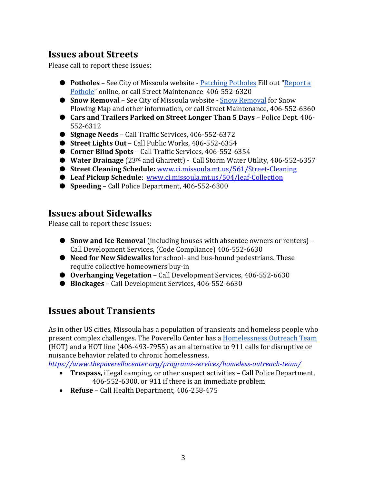## **Issues about Streets**

Please call to report these issues:

- **Potholes** See City of Missoula website **[Patching Potholes](https://www.ci.missoula.mt.us/2321/Patching-Potholes) Fill out "Report a** [Pothole"](https://www.ci.missoula.mt.us/FormCenter/I-Want-To-8/Report-a-Pothole-121) online, or call Street Maintenance 406-552-6320
- **[Snow Removal](https://www.ci.missoula.mt.us/558/Snow-Removal)** See City of Missoula website Snow Removal for Snow Plowing Map and other information, or call Street Maintenance, 406-552-6360
- **Cars and Trailers Parked on Street Longer Than 5 Days** Police Dept. 406- 552-6312
- **Signage Needs** Call Traffic Services, 406-552-6372
- **Street Lights Out**  Call Public Works, 406-552-6354
- **Corner Blind Spots** Call Traffic Services, 406-552-6354
- **Water Drainage** (23<sup>rd</sup> and Gharrett) Call Storm Water Utility, 406-552-6357
- **Street Cleaning Schedule:** [www.ci.missoula.mt.us/561/Street-Cleaning](http://www.ci.missoula.mt.us/561/Street-Cleaning)
- Leaf Pickup Schedule: [www.ci.missoula.mt.us/504/leaf-Collection](http://www.ci.missoula.mt.us/504/leaf-Collection)
- **Speeding** Call Police Department, 406-552-6300

## **Issues about Sidewalks**

Please call to report these issues:

- **Snow and Ice Removal** (including houses with absentee owners or renters) Call Development Services, (Code Compliance) 406-552-6630
- **Need for New Sidewalks** for school- and bus-bound pedestrians. These require collective homeowners buy-in
- **Overhanging Vegetation** Call Development Services, 406-552-6630
- **Blockages** Call Development Services, 406-552-6630

## **Issues about Transients**

As in other US cities, Missoula has a population of transients and homeless people who present complex challenges. The Poverello Center has a [Homelessness Outreach Team](https://www.thepoverellocenter.org/programs-services/homeless-outreach-team/) (HOT) and a HOT line (406-493-7955) as an alternative to 911 calls for disruptive or nuisance behavior related to chronic homelessness.

*<https://www.thepoverellocenter.org/programs-services/homeless-outreach-team/>*

- **Trespass,** illegal camping, or other suspect activities Call Police Department, 406-552-6300, or 911 if there is an immediate problem
- **Refuse**  Call Health Department, 406-258-475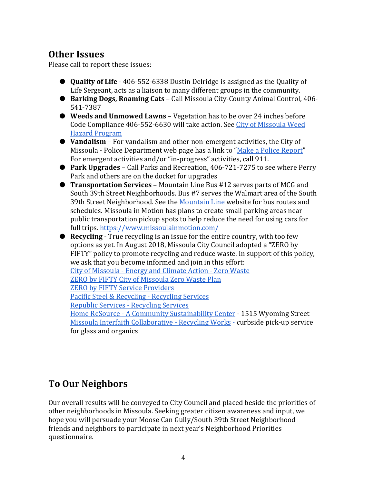## **Other Issues**

Please call to report these issues:

- **Quality of Life** 406-552-6338 Dustin Delridge is assigned as the Quality of Life Sergeant, acts as a liaison to many different groups in the community.
- **Barking Dogs, Roaming Cats** Call Missoula City-County Animal Control, 406- 541-7387
- **Weeds and Unmowed Lawns** Vegetation has to be over 24 inches before Code Compliance 406-552-6630 will take action. See [City of Missoula Weed](http://www.ci.missoula.mt.us/580/Weed-Hazard-Program)  [Hazard Program](http://www.ci.missoula.mt.us/580/Weed-Hazard-Program)
- **Vandalism** For vandalism and other non-emergent activities, the City of Missoula - Police Department web page has a link to ["Make a Police Report"](http://www.ci.missoula.mt.us/FormCenter/Police-Department-5/Criminal-Report-70) For emergent activities and/or "in-progress" activities, call 911.
- **Park Upgrades** Call Parks and Recreation, 406-721-7275 to see where Perry Park and others are on the docket for upgrades
- **Transportation Services** Mountain Line Bus #12 serves parts of MCG and South 39th Street Neighborhoods. Bus #7 serves the Walmart area of the South 39th Street Neighborhood. See th[e Mountain Line](https://www.mountainline.com/) website for bus routes and schedules. Missoula in Motion has plans to create small parking areas near public transportation pickup spots to help reduce the need for using cars for full trips.<https://www.missoulainmotion.com/>
- **Recycling** True recycling is an issue for the entire country, with too few options as yet. In August 2018, Missoula City Council adopted a "ZERO by FIFTY" policy to promote recycling and reduce waste. In support of this policy, we ask that you become informed and join in this effort: City of Missoula - [Energy and Climate Action -](http://www.ci.missoula.mt.us/2087/Zero-Waste) Zero Waste ZERO by [FIFTY City of Missoula Zero Waste Plan](http://www.ci.missoula.mt.us/DocumentCenter/View/46366/ZERO-by-FIFTY-PlanFinal) ZERO by [FIFTY Service Providers](https://www.zerobyfiftymissoula.com/service-providers) [Pacific Steel & Recycling -](https://www.pacific-steel.com/recycling/) Recycling Services [Republic Services -](https://www.republicservices.com/recycling-guide?tab=facility) Recycling Services Home ReSource - [A Community Sustainability Center](https://www.homeresource.org/) - 1515 Wyoming Street [Missoula Interfaith Collaborative -](http://micmt.org/recyclingworks/) Recycling Works - curbside pick-up service for glass and organics

# **To Our Neighbors**

Our overall results will be conveyed to City Council and placed beside the priorities of other neighborhoods in Missoula. Seeking greater citizen awareness and input, we hope you will persuade your Moose Can Gully/South 39th Street Neighborhood friends and neighbors to participate in next year's Neighborhood Priorities questionnaire.